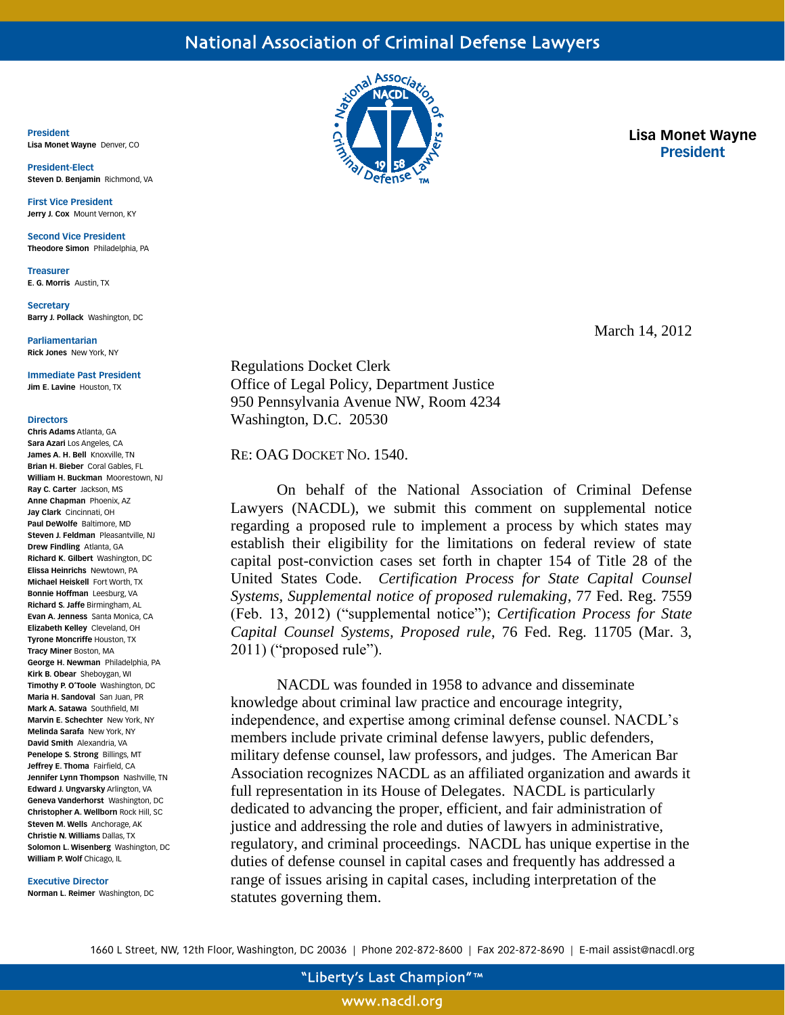**President Lisa Monet Wayne** Denver, CO

**President-Elect Steven D. Benjamin** Richmond, VA

**First Vice President Jerry J. Cox** Mount Vernon, KY

**Second Vice President Theodore Simon** Philadelphia, PA

**Treasurer E. G. Morris** Austin, TX

**Secretary Barry J. Pollack** Washington, DC

**Parliamentarian Rick Jones** New York, NY

**Immediate Past President Jim E. Lavine** Houston, TX

### **Directors**

**Chris Adams** Atlanta, GA **Sara Azari** Los Angeles, CA **James A. H. Bell** Knoxville, TN **Brian H. Bieber** Coral Gables, FL **William H. Buckman** Moorestown, NJ **Ray C. Carter** Jackson, MS **Anne Chapman** Phoenix, AZ **Jay Clark** Cincinnati, OH **Paul DeWolfe** Baltimore, MD **Steven J. Feldman** Pleasantville, NJ **Drew Findling** Atlanta, GA **Richard K. Gilbert** Washington, DC **Elissa Heinrichs** Newtown, PA **Michael Heiskell** Fort Worth, TX **Bonnie Hoffman** Leesburg, VA **Richard S. Jaffe** Birmingham, AL **Evan A. Jenness** Santa Monica, CA **Elizabeth Kelley** Cleveland, OH **Tyrone Moncriffe** Houston, TX **Tracy Miner** Boston, MA **George H. Newman** Philadelphia, PA **Kirk B. Obear** Sheboygan, WI **Timothy P. O'Toole** Washington, DC **Maria H. Sandoval** San Juan, PR **Mark A. Satawa** Southfield, MI **Marvin E. Schechter** New York, NY **Melinda Sarafa** New York, NY **David Smith** Alexandria, VA **Penelope S. Strong** Billings, MT **Jeffrey E. Thoma** Fairfield, CA **Jennifer Lynn Thompson** Nashville, TN **Edward J. Ungvarsky** Arlington, VA **Geneva Vanderhorst** Washington, DC **Christopher A. Wellborn** Rock Hill, SC **Steven M. Wells** Anchorage, AK **Christie N. Williams** Dallas, TX **Solomon L. Wisenberg** Washington, DC **William P. Wolf** Chicago, IL

### **Executive Director**

**Norman L. Reimer** Washington, DC



**Lisa Monet Wayne President**

March 14, 2012

Regulations Docket Clerk Office of Legal Policy, Department Justice 950 Pennsylvania Avenue NW, Room 4234 Washington, D.C. 20530

RE: OAG DOCKET NO. 1540.

On behalf of the National Association of Criminal Defense Lawyers (NACDL), we submit this comment on supplemental notice regarding a proposed rule to implement a process by which states may establish their eligibility for the limitations on federal review of state capital post-conviction cases set forth in chapter 154 of Title 28 of the United States Code. *Certification Process for State Capital Counsel Systems, Supplemental notice of proposed rulemaking*, 77 Fed. Reg. 7559 (Feb. 13, 2012) ("supplemental notice"); *Certification Process for State Capital Counsel Systems, Proposed rule*, 76 Fed. Reg. 11705 (Mar. 3, 2011) ("proposed rule").

NACDL was founded in 1958 to advance and disseminate knowledge about criminal law practice and encourage integrity, independence, and expertise among criminal defense counsel. NACDL's members include private criminal defense lawyers, public defenders, military defense counsel, law professors, and judges. The American Bar Association recognizes NACDL as an affiliated organization and awards it full representation in its House of Delegates. NACDL is particularly dedicated to advancing the proper, efficient, and fair administration of justice and addressing the role and duties of lawyers in administrative, regulatory, and criminal proceedings. NACDL has unique expertise in the duties of defense counsel in capital cases and frequently has addressed a range of issues arising in capital cases, including interpretation of the statutes governing them.

1660 L Street, NW, 12th Floor, Washington, DC 20036 | Phone 202-872-8600 | Fax 202-872-8690 | E-mail assist@nacdl.org

www.nacdl.org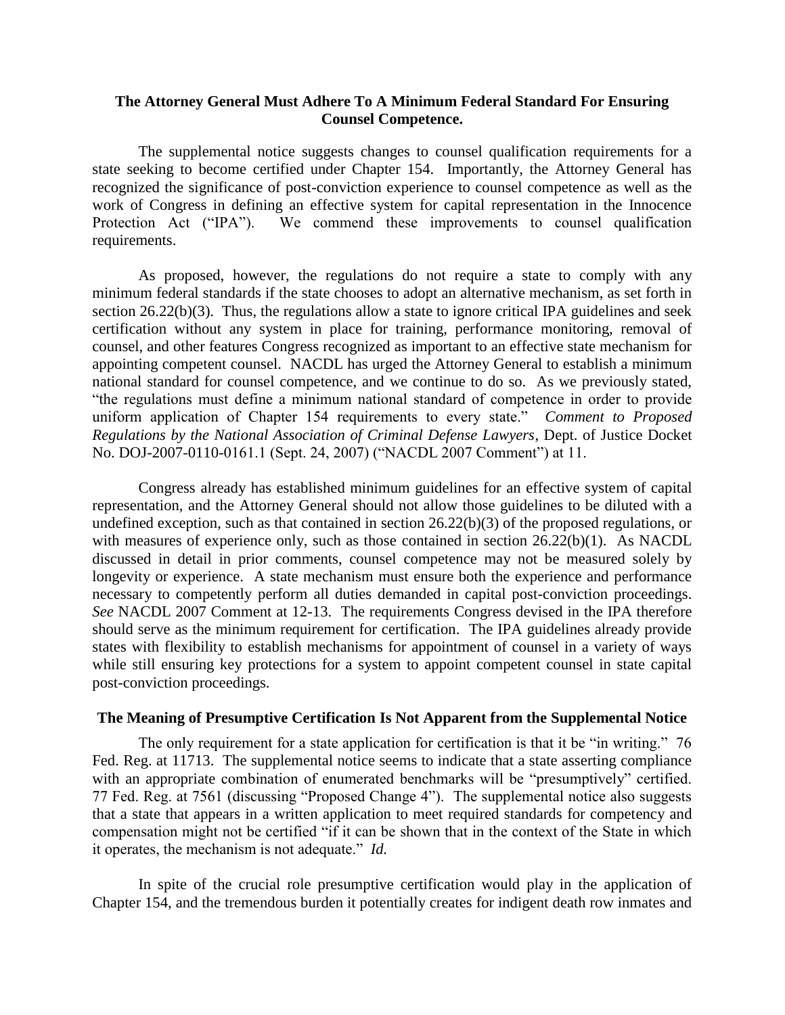# **The Attorney General Must Adhere To A Minimum Federal Standard For Ensuring Counsel Competence.**

The supplemental notice suggests changes to counsel qualification requirements for a state seeking to become certified under Chapter 154. Importantly, the Attorney General has recognized the significance of post-conviction experience to counsel competence as well as the work of Congress in defining an effective system for capital representation in the Innocence Protection Act ("IPA"). We commend these improvements to counsel qualification requirements.

As proposed, however, the regulations do not require a state to comply with any minimum federal standards if the state chooses to adopt an alternative mechanism, as set forth in section 26.22(b)(3). Thus, the regulations allow a state to ignore critical IPA guidelines and seek certification without any system in place for training, performance monitoring, removal of counsel, and other features Congress recognized as important to an effective state mechanism for appointing competent counsel. NACDL has urged the Attorney General to establish a minimum national standard for counsel competence, and we continue to do so. As we previously stated, "the regulations must define a minimum national standard of competence in order to provide uniform application of Chapter 154 requirements to every state." *Comment to Proposed Regulations by the National Association of Criminal Defense Lawyers*, Dept. of Justice Docket No. DOJ-2007-0110-0161.1 (Sept. 24, 2007) ("NACDL 2007 Comment") at 11.

Congress already has established minimum guidelines for an effective system of capital representation, and the Attorney General should not allow those guidelines to be diluted with a undefined exception, such as that contained in section 26.22(b)(3) of the proposed regulations, or with measures of experience only, such as those contained in section 26.22(b)(1). As NACDL discussed in detail in prior comments, counsel competence may not be measured solely by longevity or experience. A state mechanism must ensure both the experience and performance necessary to competently perform all duties demanded in capital post-conviction proceedings. *See* NACDL 2007 Comment at 12-13. The requirements Congress devised in the IPA therefore should serve as the minimum requirement for certification. The IPA guidelines already provide states with flexibility to establish mechanisms for appointment of counsel in a variety of ways while still ensuring key protections for a system to appoint competent counsel in state capital post-conviction proceedings.

### **The Meaning of Presumptive Certification Is Not Apparent from the Supplemental Notice**

The only requirement for a state application for certification is that it be "in writing." 76 Fed. Reg. at 11713. The supplemental notice seems to indicate that a state asserting compliance with an appropriate combination of enumerated benchmarks will be "presumptively" certified. 77 Fed. Reg. at 7561 (discussing "Proposed Change 4"). The supplemental notice also suggests that a state that appears in a written application to meet required standards for competency and compensation might not be certified "if it can be shown that in the context of the State in which it operates, the mechanism is not adequate." *Id.* 

In spite of the crucial role presumptive certification would play in the application of Chapter 154, and the tremendous burden it potentially creates for indigent death row inmates and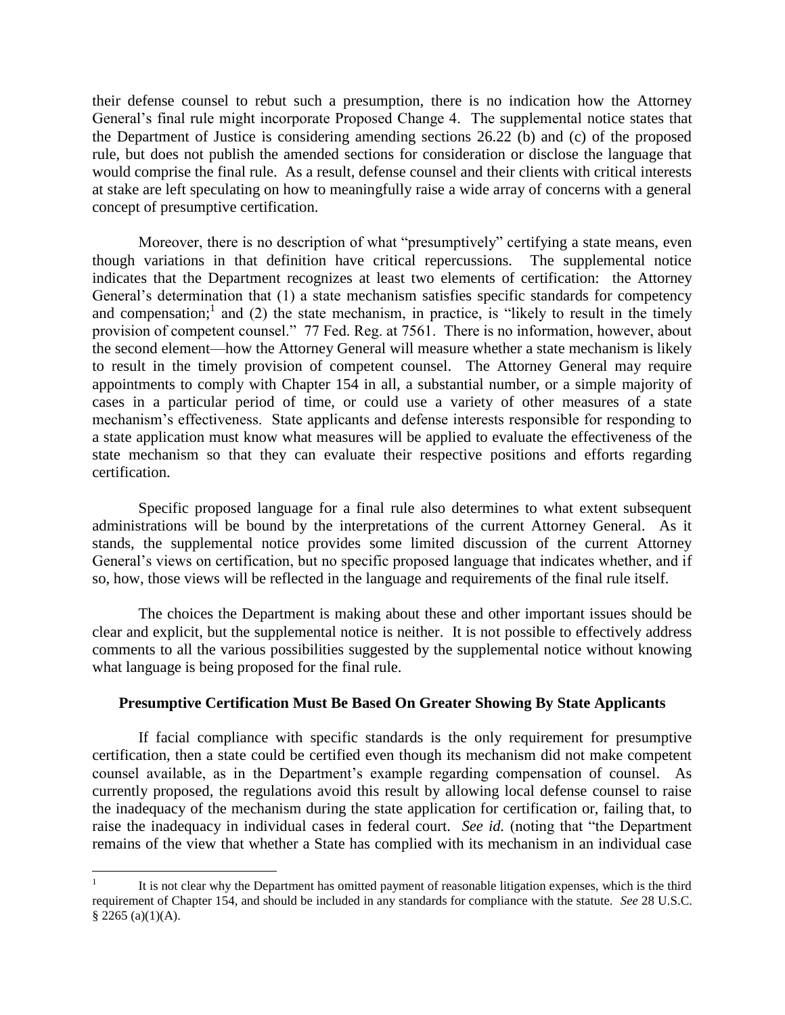their defense counsel to rebut such a presumption, there is no indication how the Attorney General's final rule might incorporate Proposed Change 4. The supplemental notice states that the Department of Justice is considering amending sections 26.22 (b) and (c) of the proposed rule, but does not publish the amended sections for consideration or disclose the language that would comprise the final rule. As a result, defense counsel and their clients with critical interests at stake are left speculating on how to meaningfully raise a wide array of concerns with a general concept of presumptive certification.

Moreover, there is no description of what "presumptively" certifying a state means, even though variations in that definition have critical repercussions. The supplemental notice indicates that the Department recognizes at least two elements of certification: the Attorney General's determination that (1) a state mechanism satisfies specific standards for competency and compensation;<sup>1</sup> and (2) the state mechanism, in practice, is "likely to result in the timely provision of competent counsel." 77 Fed. Reg. at 7561. There is no information, however, about the second element—how the Attorney General will measure whether a state mechanism is likely to result in the timely provision of competent counsel. The Attorney General may require appointments to comply with Chapter 154 in all, a substantial number, or a simple majority of cases in a particular period of time, or could use a variety of other measures of a state mechanism's effectiveness. State applicants and defense interests responsible for responding to a state application must know what measures will be applied to evaluate the effectiveness of the state mechanism so that they can evaluate their respective positions and efforts regarding certification.

Specific proposed language for a final rule also determines to what extent subsequent administrations will be bound by the interpretations of the current Attorney General. As it stands, the supplemental notice provides some limited discussion of the current Attorney General's views on certification, but no specific proposed language that indicates whether, and if so, how, those views will be reflected in the language and requirements of the final rule itself.

The choices the Department is making about these and other important issues should be clear and explicit, but the supplemental notice is neither. It is not possible to effectively address comments to all the various possibilities suggested by the supplemental notice without knowing what language is being proposed for the final rule.

# **Presumptive Certification Must Be Based On Greater Showing By State Applicants**

If facial compliance with specific standards is the only requirement for presumptive certification, then a state could be certified even though its mechanism did not make competent counsel available, as in the Department's example regarding compensation of counsel. As currently proposed, the regulations avoid this result by allowing local defense counsel to raise the inadequacy of the mechanism during the state application for certification or, failing that, to raise the inadequacy in individual cases in federal court. *See id.* (noting that "the Department remains of the view that whether a State has complied with its mechanism in an individual case

 $\overline{a}$ 

<sup>1</sup> It is not clear why the Department has omitted payment of reasonable litigation expenses, which is the third requirement of Chapter 154, and should be included in any standards for compliance with the statute. *See* 28 U.S.C.  $$2265 (a)(1)(A).$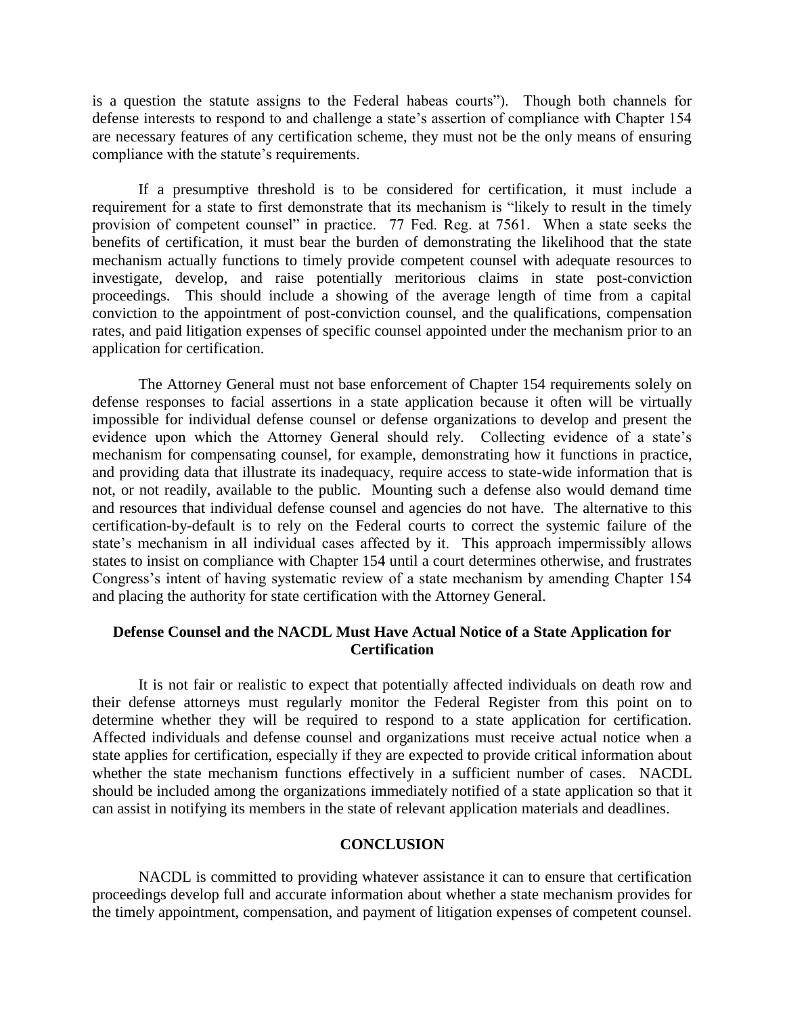is a question the statute assigns to the Federal habeas courts"). Though both channels for defense interests to respond to and challenge a state's assertion of compliance with Chapter 154 are necessary features of any certification scheme, they must not be the only means of ensuring compliance with the statute's requirements.

If a presumptive threshold is to be considered for certification, it must include a requirement for a state to first demonstrate that its mechanism is "likely to result in the timely provision of competent counsel" in practice. 77 Fed. Reg. at 7561. When a state seeks the benefits of certification, it must bear the burden of demonstrating the likelihood that the state mechanism actually functions to timely provide competent counsel with adequate resources to investigate, develop, and raise potentially meritorious claims in state post-conviction proceedings. This should include a showing of the average length of time from a capital conviction to the appointment of post-conviction counsel, and the qualifications, compensation rates, and paid litigation expenses of specific counsel appointed under the mechanism prior to an application for certification.

The Attorney General must not base enforcement of Chapter 154 requirements solely on defense responses to facial assertions in a state application because it often will be virtually impossible for individual defense counsel or defense organizations to develop and present the evidence upon which the Attorney General should rely. Collecting evidence of a state's mechanism for compensating counsel, for example, demonstrating how it functions in practice, and providing data that illustrate its inadequacy, require access to state-wide information that is not, or not readily, available to the public. Mounting such a defense also would demand time and resources that individual defense counsel and agencies do not have. The alternative to this certification-by-default is to rely on the Federal courts to correct the systemic failure of the state's mechanism in all individual cases affected by it. This approach impermissibly allows states to insist on compliance with Chapter 154 until a court determines otherwise, and frustrates Congress's intent of having systematic review of a state mechanism by amending Chapter 154 and placing the authority for state certification with the Attorney General.

# **Defense Counsel and the NACDL Must Have Actual Notice of a State Application for Certification**

It is not fair or realistic to expect that potentially affected individuals on death row and their defense attorneys must regularly monitor the Federal Register from this point on to determine whether they will be required to respond to a state application for certification. Affected individuals and defense counsel and organizations must receive actual notice when a state applies for certification, especially if they are expected to provide critical information about whether the state mechanism functions effectively in a sufficient number of cases. NACDL should be included among the organizations immediately notified of a state application so that it can assist in notifying its members in the state of relevant application materials and deadlines.

## **CONCLUSION**

NACDL is committed to providing whatever assistance it can to ensure that certification proceedings develop full and accurate information about whether a state mechanism provides for the timely appointment, compensation, and payment of litigation expenses of competent counsel.